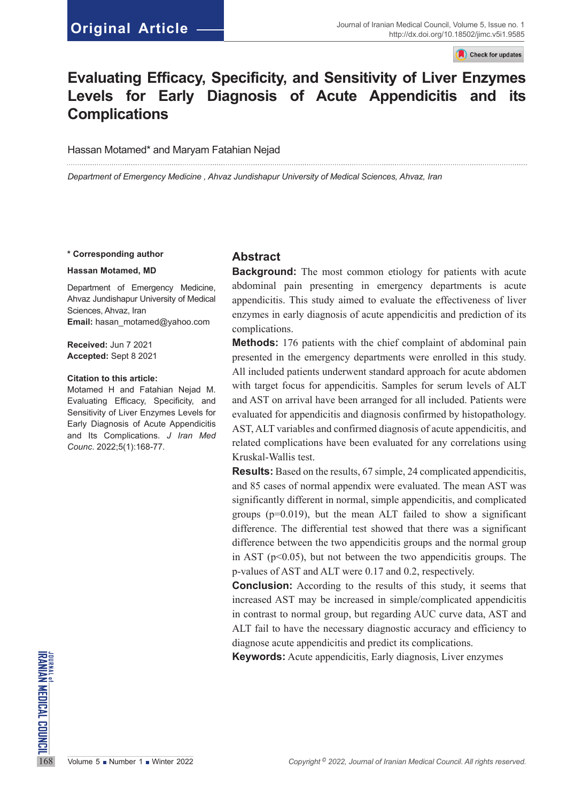## **Original Article**

Check for updates

# **Evaluating Efficacy, Specificity, and Sensitivity of Liver Enzymes Levels for Early Diagnosis of Acute Appendicitis and its Complications**

#### Hassan Motamed\* and Maryam Fatahian Nejad

*Department of Emergency Medicine , Ahvaz Jundishapur University of Medical Sciences, Ahvaz, Iran*

#### **\* Corresponding author**

#### **Hassan Motamed, MD**

Department of Emergency Medicine, Ahvaz Jundishapur University of Medical Sciences, Ahvaz, Iran **Email:** hasan\_motamed@yahoo.com

**Received:** Jun 7 2021 **Accepted:** Sept 8 2021

#### **Citation to this article:**

Motamed H and Fatahian Nejad M. Evaluating Efficacy, Specificity, and Sensitivity of Liver Enzymes Levels for Early Diagnosis of Acute Appendicitis and Its Complications. *J Iran Med Counc*. 2022;5(1):168-77.

### **Abstract**

**Background:** The most common etiology for patients with acute abdominal pain presenting in emergency departments is acute appendicitis. This study aimed to evaluate the effectiveness of liver enzymes in early diagnosis of acute appendicitis and prediction of its complications.

**Methods:** 176 patients with the chief complaint of abdominal pain presented in the emergency departments were enrolled in this study. All included patients underwent standard approach for acute abdomen with target focus for appendicitis. Samples for serum levels of ALT and AST on arrival have been arranged for all included. Patients were evaluated for appendicitis and diagnosis confirmed by histopathology. AST, ALT variables and confirmed diagnosis of acute appendicitis, and related complications have been evaluated for any correlations using Kruskal-Wallis test.

**Results:** Based on the results, 67 simple, 24 complicated appendicitis, and 85 cases of normal appendix were evaluated. The mean AST was significantly different in normal, simple appendicitis, and complicated groups  $(p=0.019)$ , but the mean ALT failed to show a significant difference. The differential test showed that there was a significant difference between the two appendicitis groups and the normal group in AST ( $p<0.05$ ), but not between the two appendicitis groups. The p-values of AST and ALT were 0.17 and 0.2, respectively.

**Conclusion:** According to the results of this study, it seems that increased AST may be increased in simple/complicated appendicitis in contrast to normal group, but regarding AUC curve data, AST and ALT fail to have the necessary diagnostic accuracy and efficiency to diagnose acute appendicitis and predict its complications.

168 Volume 5 **Number 1 Winter 2022**<br>
168 Volume 5 **Number 1 Winter 2022**<br>
168 Volume 5 **Number 1 Winter 2022**<br>
168 Volume 5 **Number 1 Winter 2022**<br>
2022, Journal of Iranian Medical Council. All rights reserved. **Keywords:** Acute appendicitis, Early diagnosis, Liver enzymes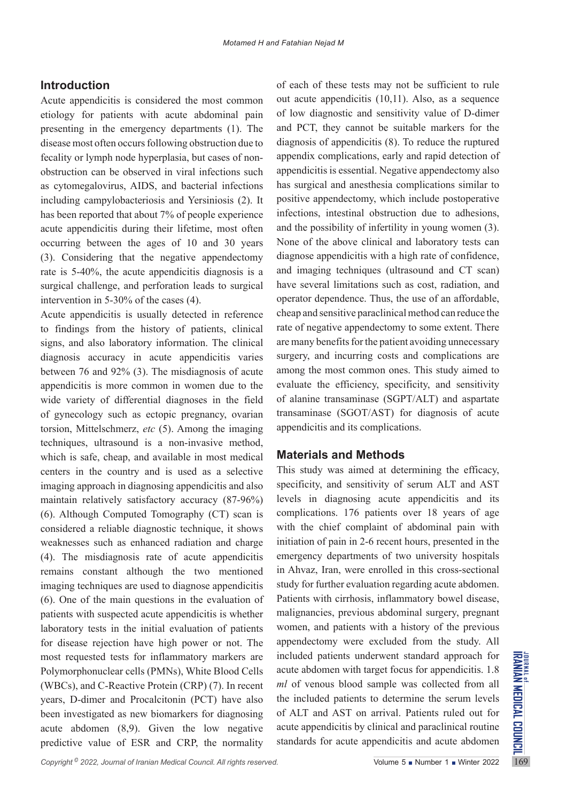## **Introduction**

Acute appendicitis is considered the most common etiology for patients with acute abdominal pain presenting in the emergency departments (1). The disease most often occurs following obstruction due to fecality or lymph node hyperplasia, but cases of nonobstruction can be observed in viral infections such as cytomegalovirus, AIDS, and bacterial infections including campylobacteriosis and Yersiniosis (2). It has been reported that about 7% of people experience acute appendicitis during their lifetime, most often occurring between the ages of 10 and 30 years (3). Considering that the negative appendectomy rate is 5-40%, the acute appendicitis diagnosis is a surgical challenge, and perforation leads to surgical intervention in 5-30% of the cases (4).

most requested tests for inflammatory markers are included patients underwent standard approach for Polymorphonuclear cells (PMNs), White Blood Cells acute abdomen with target focus for appendicitis. 1.8 (WBCs), and C-Reac Acute appendicitis is usually detected in reference to findings from the history of patients, clinical signs, and also laboratory information. The clinical diagnosis accuracy in acute appendicitis varies between 76 and 92% (3). The misdiagnosis of acute appendicitis is more common in women due to the wide variety of differential diagnoses in the field of gynecology such as ectopic pregnancy, ovarian torsion, Mittelschmerz, *etc* (5). Among the imaging techniques, ultrasound is a non-invasive method, which is safe, cheap, and available in most medical centers in the country and is used as a selective imaging approach in diagnosing appendicitis and also maintain relatively satisfactory accuracy (87-96%) (6). Although Computed Tomography (CT) scan is considered a reliable diagnostic technique, it shows weaknesses such as enhanced radiation and charge (4). The misdiagnosis rate of acute appendicitis remains constant although the two mentioned imaging techniques are used to diagnose appendicitis (6). One of the main questions in the evaluation of patients with suspected acute appendicitis is whether laboratory tests in the initial evaluation of patients for disease rejection have high power or not. The most requested tests for inflammatory markers are Polymorphonuclear cells (PMNs), White Blood Cells (WBCs), and C-Reactive Protein (CRP) (7). In recent years, D-dimer and Procalcitonin (PCT) have also been investigated as new biomarkers for diagnosing acute abdomen (8,9). Given the low negative predictive value of ESR and CRP, the normality

of each of these tests may not be sufficient to rule out acute appendicitis (10,11). Also, as a sequence of low diagnostic and sensitivity value of D-dimer and PCT, they cannot be suitable markers for the diagnosis of appendicitis (8). To reduce the ruptured appendix complications, early and rapid detection of appendicitis is essential. Negative appendectomy also has surgical and anesthesia complications similar to positive appendectomy, which include postoperative infections, intestinal obstruction due to adhesions, and the possibility of infertility in young women (3). None of the above clinical and laboratory tests can diagnose appendicitis with a high rate of confidence, and imaging techniques (ultrasound and CT scan) have several limitations such as cost, radiation, and operator dependence. Thus, the use of an affordable, cheap and sensitive paraclinical method can reduce the rate of negative appendectomy to some extent. There are many benefits for the patient avoiding unnecessary surgery, and incurring costs and complications are among the most common ones. This study aimed to evaluate the efficiency, specificity, and sensitivity of alanine transaminase (SGPT/ALT) and aspartate transaminase (SGOT/AST) for diagnosis of acute appendicitis and its complications.

## **Materials and Methods**

This study was aimed at determining the efficacy, specificity, and sensitivity of serum ALT and AST levels in diagnosing acute appendicitis and its complications. 176 patients over 18 years of age with the chief complaint of abdominal pain with initiation of pain in 2-6 recent hours, presented in the emergency departments of two university hospitals in Ahvaz, Iran, were enrolled in this cross-sectional study for further evaluation regarding acute abdomen. Patients with cirrhosis, inflammatory bowel disease, malignancies, previous abdominal surgery, pregnant women, and patients with a history of the previous appendectomy were excluded from the study. All included patients underwent standard approach for acute abdomen with target focus for appendicitis. 1.8 *ml* of venous blood sample was collected from all the included patients to determine the serum levels of ALT and AST on arrival. Patients ruled out for acute appendicitis by clinical and paraclinical routine standards for acute appendicitis and acute abdomen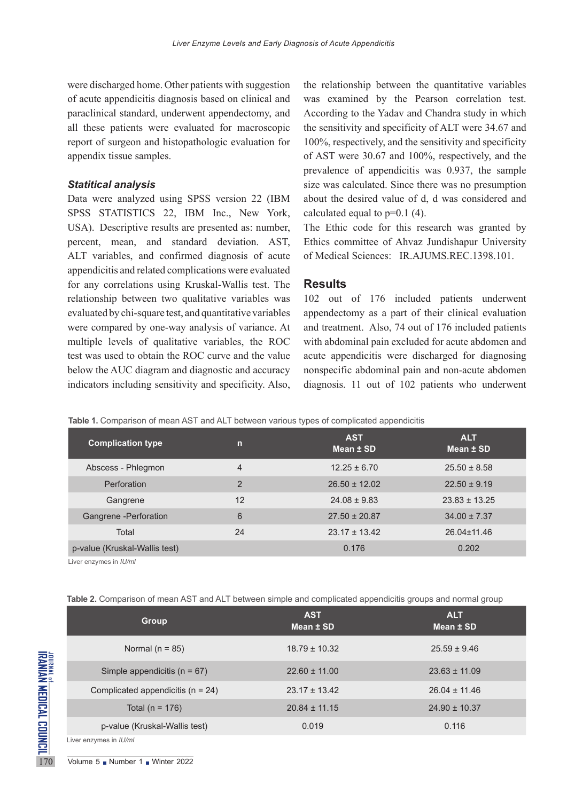were discharged home. Other patients with suggestion of acute appendicitis diagnosis based on clinical and paraclinical standard, underwent appendectomy, and all these patients were evaluated for macroscopic report of surgeon and histopathologic evaluation for appendix tissue samples.

### *Statitical analysis*

Data were analyzed using SPSS version 22 (IBM SPSS STATISTICS 22, IBM Inc., New York, USA). Descriptive results are presented as: number, percent, mean, and standard deviation. AST, ALT variables, and confirmed diagnosis of acute appendicitis and related complications were evaluated for any correlations using Kruskal-Wallis test. The relationship between two qualitative variables was evaluated by chi-square test, and quantitative variables were compared by one-way analysis of variance. At multiple levels of qualitative variables, the ROC test was used to obtain the ROC curve and the value below the AUC diagram and diagnostic and accuracy indicators including sensitivity and specificity. Also,

the relationship between the quantitative variables was examined by the Pearson correlation test. According to the Yadav and Chandra study in which the sensitivity and specificity of ALT were 34.67 and 100%, respectively, and the sensitivity and specificity of AST were 30.67 and 100%, respectively, and the prevalence of appendicitis was 0.937, the sample size was calculated. Since there was no presumption about the desired value of d, d was considered and calculated equal to  $p=0.1$  (4).

The Ethic code for this research was granted by Ethics committee of Ahvaz Jundishapur University of Medical Sciences: IR.AJUMS.REC.1398.101.

#### **Results**

102 out of 176 included patients underwent appendectomy as a part of their clinical evaluation and treatment. Also, 74 out of 176 included patients with abdominal pain excluded for acute abdomen and acute appendicitis were discharged for diagnosing nonspecific abdominal pain and non-acute abdomen diagnosis. 11 out of 102 patients who underwent

**Table 1.** Comparison of mean AST and ALT between various types of complicated appendicitis

| <b>Complication type</b>      | m              | <b>AST</b><br>Mean ± SD | <b>ALT</b><br>Mean ± SD |
|-------------------------------|----------------|-------------------------|-------------------------|
| Abscess - Phlegmon            | 4              | $12.25 \pm 6.70$        | $25.50 \pm 8.58$        |
| Perforation                   | $\overline{2}$ | $26.50 \pm 12.02$       | $22.50 \pm 9.19$        |
| Gangrene                      | 12             | $24.08 \pm 9.83$        | $23.83 \pm 13.25$       |
| Gangrene - Perforation        | 6              | $27.50 \pm 20.87$       | $34.00 \pm 7.37$        |
| Total                         | 24             | $23.17 \pm 13.42$       | 26.04±11.46             |
| p-value (Kruskal-Wallis test) |                | 0.176                   | 0.202                   |

Liver enzymes in *IU/ml*

|  | Table 2. Comparison of mean AST and ALT between simple and complicated appendicitis groups and normal group |  |  |  |
|--|-------------------------------------------------------------------------------------------------------------|--|--|--|
|--|-------------------------------------------------------------------------------------------------------------|--|--|--|

|                                                   | <b>Group</b>                                                | <b>AST</b><br>Mean ± SD | <b>ALT</b><br>Mean ± SD |
|---------------------------------------------------|-------------------------------------------------------------|-------------------------|-------------------------|
| JONNAN MEDICAL COUNCIL<br>Iranian medical council | Normal ( $n = 85$ )                                         | $18.79 \pm 10.32$       | $25.59 \pm 9.46$        |
|                                                   | Simple appendicitis ( $n = 67$ )                            | $22.60 \pm 11.00$       | $23.63 \pm 11.09$       |
|                                                   | Complicated appendicitis ( $n = 24$ )                       | $23.17 \pm 13.42$       | $26.04 \pm 11.46$       |
|                                                   | Total ( $n = 176$ )                                         | $20.84 \pm 11.15$       | $24.90 \pm 10.37$       |
|                                                   | p-value (Kruskal-Wallis test)                               | 0.019                   | 0.116                   |
|                                                   | Liver enzymes in IU/ml                                      |                         |                         |
| 170                                               | Volume $5 \blacksquare$ Number $1 \blacksquare$ Winter 2022 |                         |                         |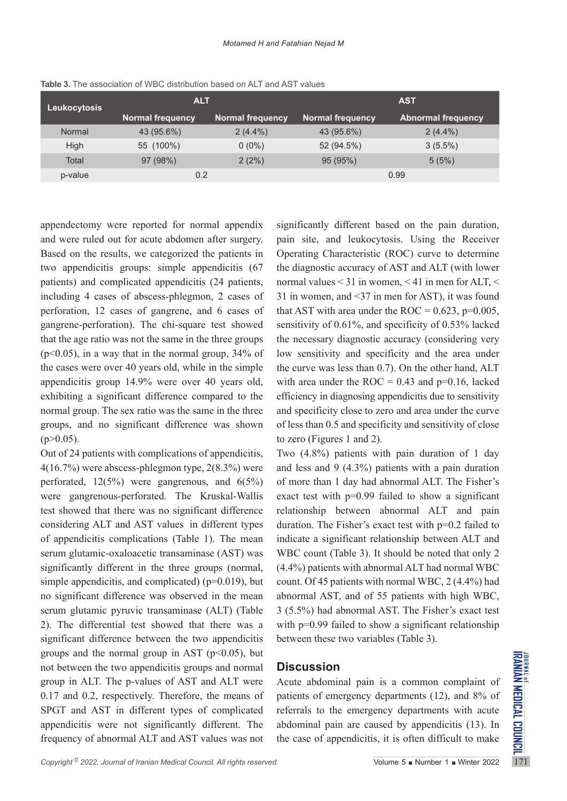| <b>Leukocytosis</b> | <b>ALT</b>       |                         | <b>AST</b>              |                           |
|---------------------|------------------|-------------------------|-------------------------|---------------------------|
|                     | Normal frequency | <b>Normal frequency</b> | <b>Normal frequency</b> | <b>Abnormal frequency</b> |
| Normal              | 43 (95.6%)       | $2(4.4\%)$              | 43 (95.6%)              | $2(4.4\%)$                |
| High                | 55 (100%)        | $0(0\%)$                | 52 (94.5%)              | $3(5.5\%)$                |
| Total               | 97 (98%)         | 2(2%)                   | 95 (95%)                | 5(5%)                     |
| p-value             | 0.2              |                         |                         | 0.99                      |

**Table 3.** The association of WBC distribution based on ALT and AST values

appendectomy were reported for normal appendix and were ruled out for acute abdomen after surgery. Based on the results, we categorized the patients in two appendicitis groups: simple appendicitis (67 patients) and complicated appendicitis (24 patients, including 4 cases of abscess-phlegmon, 2 cases of perforation, 12 cases of gangrene, and 6 cases of gangrene-perforation). The chi-square test showed that the age ratio was not the same in the three groups  $(p<0.05)$ , in a way that in the normal group, 34% of the cases were over 40 years old, while in the simple appendicitis group 14.9% were over 40 years old, exhibiting a significant difference compared to the normal group. The sex ratio was the same in the three groups, and no significant difference was shown  $(p>0.05)$ .

groups and the normal group in AST (p<0.05), but<br>not between the two appendicitis groups and normal<br>group in ALT. The p-values of AST and ALT were Acute abdominal pain is a common complaint of<br>0.17 and 0.2, respectively. Out of 24 patients with complications of appendicitis, 4(16.7%) were abscess-phlegmon type, 2(8.3%) were perforated,  $12(5\%)$  were gangrenous, and  $6(5\%)$ were gangrenous-perforated. The Kruskal-Wallis test showed that there was no significant difference considering ALT and AST values in different types of appendicitis complications (Table 1). The mean serum glutamic-oxaloacetic transaminase (AST) was significantly different in the three groups (normal, simple appendicitis, and complicated) ( $p=0.019$ ), but no significant difference was observed in the mean serum glutamic pyruvic transaminase (ALT) (Table 2). The differential test showed that there was a significant difference between the two appendicitis groups and the normal group in AST ( $p<0.05$ ), but not between the two appendicitis groups and normal group in ALT. The p-values of AST and ALT were 0.17 and 0.2, respectively. Therefore, the means of SPGT and AST in different types of complicated appendicitis were not significantly different. The frequency of abnormal ALT and AST values was not

significantly different based on the pain duration, pain site, and leukocytosis. Using the Receiver Operating Characteristic (ROC) curve to determine the diagnostic accuracy of AST and ALT (with lower normal values < 31 in women, < 41 in men for ALT, < 31 in women, and <37 in men for AST), it was found that AST with area under the ROC =  $0.623$ , p= $0.005$ , sensitivity of 0.61%, and specificity of 0.53% lacked the necessary diagnostic accuracy (considering very low sensitivity and specificity and the area under the curve was less than 0.7). On the other hand, ALT with area under the ROC =  $0.43$  and  $p=0.16$ , lacked efficiency in diagnosing appendicitis due to sensitivity and specificity close to zero and area under the curve of less than 0.5 and specificity and sensitivity of close to zero (Figures 1 and 2).

Two (4.8%) patients with pain duration of 1 day and less and 9 (4.3%) patients with a pain duration of more than 1 day had abnormal ALT. The Fisher's exact test with  $p=0.99$  failed to show a significant relationship between abnormal ALT and pain duration. The Fisher's exact test with p=0.2 failed to indicate a significant relationship between ALT and WBC count (Table 3). It should be noted that only 2 (4.4%) patients with abnormal ALT had normal WBC count. Of 45 patients with normal WBC, 2 (4.4%) had abnormal AST, and of 55 patients with high WBC, 3 (5.5%) had abnormal AST. The Fisher's exact test with p=0.99 failed to show a significant relationship between these two variables (Table 3).

## **Discussion**

Acute abdominal pain is a common complaint of patients of emergency departments (12), and 8% of referrals to the emergency departments with acute abdominal pain are caused by appendicitis (13). In the case of appendicitis, it is often difficult to make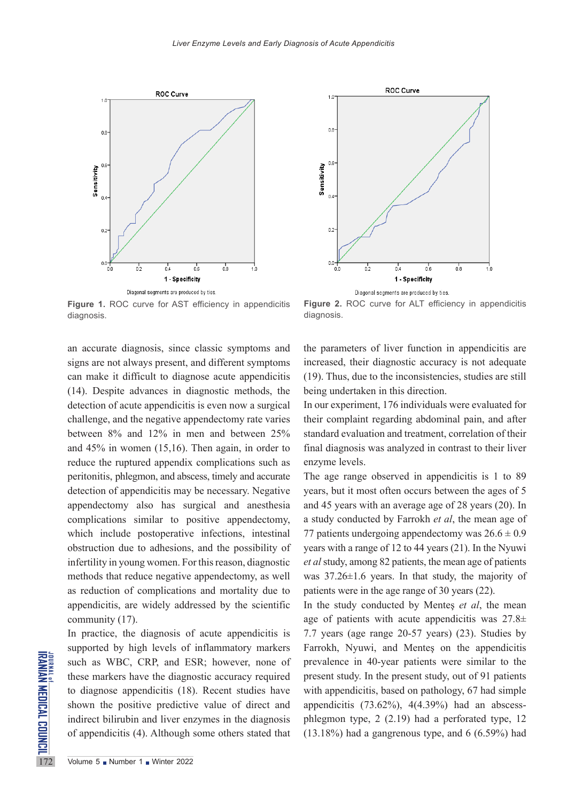diagnosis.





**Figure 1. ROC curve for AST efficiency in appendicitis** diagnosis.

an accurate diagnosis, since classic symptoms and signs are not always present, and different symptoms can make it difficult to diagnose acute appendicitis (14). Despite advances in diagnostic methods, the detection of acute appendicitis is even now a surgical challenge, and the negative appendectomy rate varies between 8% and 12% in men and between 25% and 45% in women (15,16). Then again, in order to reduce the ruptured appendix complications such as peritonitis, phlegmon, and abscess, timely and accurate detection of appendicitis may be necessary. Negative appendectomy also has surgical and anesthesia complications similar to positive appendectomy, which include postoperative infections, intestinal obstruction due to adhesions, and the possibility of infertility in young women. For this reason, diagnostic methods that reduce negative appendectomy, as well as reduction of complications and mortality due to appendicitis, are widely addressed by the scientific community (17).

SURING SURIES SURVISHED SURVISHED SURVISHED TO diagnose appendicitis (18)<br>
shown the positive predictive indirect bilirubin and liver en<br>
of appendicitis (4). Although In practice, the diagnosis of acute appendicitis is supported by high levels of inflammatory markers such as WBC, CRP, and ESR; however, none of these markers have the diagnostic accuracy required to diagnose appendicitis (18). Recent studies have shown the positive predictive value of direct and indirect bilirubin and liver enzymes in the diagnosis of appendicitis (4). Although some others stated that

the parameters of liver function in appendicitis are increased, their diagnostic accuracy is not adequate (19). Thus, due to the inconsistencies, studies are still being undertaken in this direction.

**Figure 2.** ROC curve for ALT efficiency in appendicitis

In our experiment, 176 individuals were evaluated for their complaint regarding abdominal pain, and after standard evaluation and treatment, correlation of their final diagnosis was analyzed in contrast to their liver enzyme levels.

The age range observed in appendicitis is 1 to 89 years, but it most often occurs between the ages of 5 and 45 years with an average age of 28 years (20). In a study conducted by Farrokh *et al*, the mean age of 77 patients undergoing appendectomy was  $26.6 \pm 0.9$ years with a range of 12 to 44 years (21). In the Nyuwi *et al* study, among 82 patients, the mean age of patients was 37.26±1.6 years. In that study, the majority of patients were in the age range of 30 years (22).

In the study conducted by Menteş *et al*, the mean age of patients with acute appendicitis was  $27.8\pm$ 7.7 years (age range 20-57 years) (23). Studies by Farrokh, Nyuwi, and Menteş on the appendicitis prevalence in 40-year patients were similar to the present study. In the present study, out of 91 patients with appendicitis, based on pathology, 67 had simple appendicitis  $(73.62\%)$ ,  $4(4.39\%)$  had an abscessphlegmon type, 2 (2.19) had a perforated type, 12 (13.18%) had a gangrenous type, and 6 (6.59%) had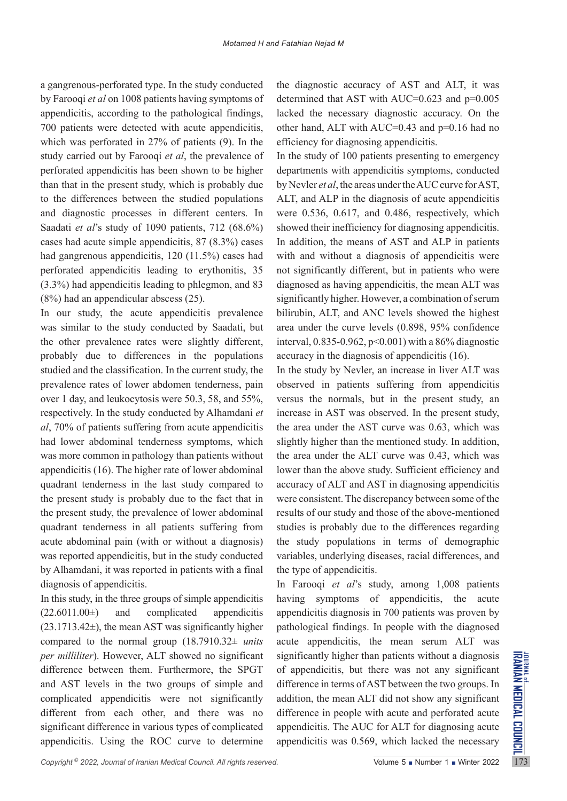a gangrenous-perforated type. In the study conducted by Farooqi *et al* on 1008 patients having symptoms of appendicitis, according to the pathological findings, 700 patients were detected with acute appendicitis, which was perforated in 27% of patients (9). In the study carried out by Farooqi *et al*, the prevalence of perforated appendicitis has been shown to be higher than that in the present study, which is probably due to the differences between the studied populations and diagnostic processes in different centers. In Saadati *et al*'s study of 1090 patients, 712 (68.6%) cases had acute simple appendicitis, 87 (8.3%) cases had gangrenous appendicitis, 120 (11.5%) cases had perforated appendicitis leading to erythonitis, 35 (3.3%) had appendicitis leading to phlegmon, and 83 (8%) had an appendicular abscess (25).

In our study, the acute appendicitis prevalence was similar to the study conducted by Saadati, but the other prevalence rates were slightly different, probably due to differences in the populations studied and the classification. In the current study, the prevalence rates of lower abdomen tenderness, pain over 1 day, and leukocytosis were 50.3, 58, and 55%, respectively. In the study conducted by Alhamdani *et al*, 70% of patients suffering from acute appendicitis had lower abdominal tenderness symptoms, which was more common in pathology than patients without appendicitis (16). The higher rate of lower abdominal quadrant tenderness in the last study compared to the present study is probably due to the fact that in the present study, the prevalence of lower abdominal quadrant tenderness in all patients suffering from acute abdominal pain (with or without a diagnosis) was reported appendicitis, but in the study conducted by Alhamdani, it was reported in patients with a final diagnosis of appendicitis.

In this study, in the three groups of simple appendicitis  $(22.6011.00\pm)$  and complicated appendicitis  $(23.1713.42\pm)$ , the mean AST was significantly higher compared to the normal group (18.7910.32± *units per milliliter*). However, ALT showed no significant difference between them. Furthermore, the SPGT and AST levels in the two groups of simple and complicated appendicitis were not significantly different from each other, and there was no significant difference in various types of complicated appendicitis. Using the ROC curve to determine

the diagnostic accuracy of AST and ALT, it was determined that AST with AUC=0.623 and p=0.005 lacked the necessary diagnostic accuracy. On the other hand, ALT with AUC=0.43 and p=0.16 had no efficiency for diagnosing appendicitis.

In the study of 100 patients presenting to emergency departments with appendicitis symptoms, conducted by Nevler *et al*, the areas under the AUC curve for AST, ALT, and ALP in the diagnosis of acute appendicitis were 0.536, 0.617, and 0.486, respectively, which showed their inefficiency for diagnosing appendicitis. In addition, the means of AST and ALP in patients with and without a diagnosis of appendicitis were not significantly different, but in patients who were diagnosed as having appendicitis, the mean ALT was significantly higher. However, a combination of serum bilirubin, ALT, and ANC levels showed the highest area under the curve levels (0.898, 95% confidence interval, 0.835-0.962, p<0.001) with a 86% diagnostic accuracy in the diagnosis of appendicitis (16).

In the study by Nevler, an increase in liver ALT was observed in patients suffering from appendicitis versus the normals, but in the present study, an increase in AST was observed. In the present study, the area under the AST curve was 0.63, which was slightly higher than the mentioned study. In addition, the area under the ALT curve was 0.43, which was lower than the above study. Sufficient efficiency and accuracy of ALT and AST in diagnosing appendicitis were consistent. The discrepancy between some of the results of our study and those of the above-mentioned studies is probably due to the differences regarding the study populations in terms of demographic variables, underlying diseases, racial differences, and the type of appendicitis.

In Farooqi *et al*'s study, among 1,008 patients having symptoms of appendicitis, the acute appendicitis diagnosis in 700 patients was proven by pathological findings. In people with the diagnosed acute appendicitis, the mean serum ALT was significantly higher than patients without a diagnosis of appendicitis, but there was not any significant difference in terms of AST between the two groups. In addition, the mean ALT did not show any significant difference in people with acute and perforated acute appendicitis. The AUC for ALT for diagnosing acute appendicitis was 0.569, which lacked the necessary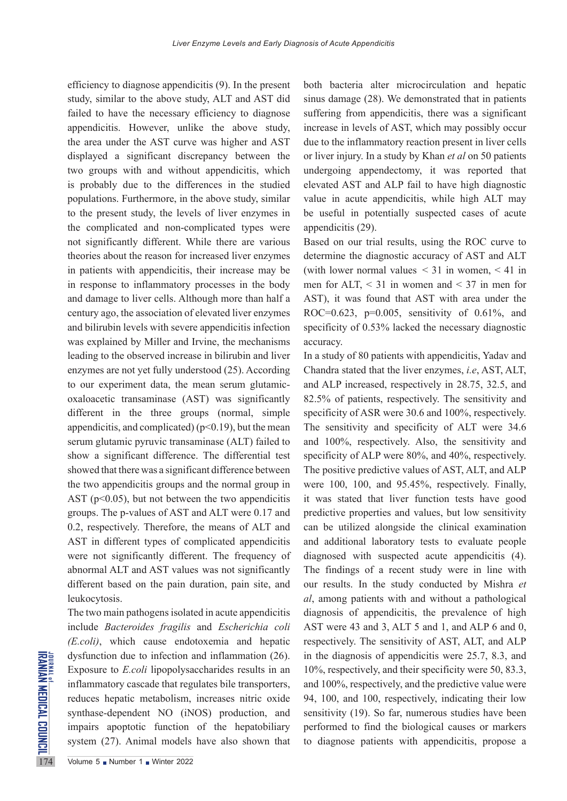efficiency to diagnose appendicitis (9). In the present study, similar to the above study, ALT and AST did failed to have the necessary efficiency to diagnose appendicitis. However, unlike the above study, the area under the AST curve was higher and AST displayed a significant discrepancy between the two groups with and without appendicitis, which is probably due to the differences in the studied populations. Furthermore, in the above study, similar to the present study, the levels of liver enzymes in the complicated and non-complicated types were not significantly different. While there are various theories about the reason for increased liver enzymes in patients with appendicitis, their increase may be in response to inflammatory processes in the body and damage to liver cells. Although more than half a century ago, the association of elevated liver enzymes and bilirubin levels with severe appendicitis infection was explained by Miller and Irvine, the mechanisms leading to the observed increase in bilirubin and liver enzymes are not yet fully understood (25). According to our experiment data, the mean serum glutamicoxaloacetic transaminase (AST) was significantly different in the three groups (normal, simple appendicitis, and complicated)  $(p<0.19)$ , but the mean serum glutamic pyruvic transaminase (ALT) failed to show a significant difference. The differential test showed that there was a significant difference between the two appendicitis groups and the normal group in AST ( $p<0.05$ ), but not between the two appendicitis groups. The p-values of AST and ALT were 0.17 and 0.2, respectively. Therefore, the means of ALT and AST in different types of complicated appendicitis were not significantly different. The frequency of abnormal ALT and AST values was not significantly different based on the pain duration, pain site, and leukocytosis.

dysfunction due to infection a<br>
Exposure to *E.coli* lipopolysa<br>
inflammatory cascade that reg<br>
reduces hepatic metabolism,<br>
synthase-dependent NO (iN<br>
impairs apoptotic function<br>
system (27). Animal models<br>
Volume 5 • Num The two main pathogens isolated in acute appendicitis include *Bacteroides fragilis* and *Escherichia coli (E.coli)*, which cause endotoxemia and hepatic dysfunction due to infection and inflammation (26). Exposure to *E.coli* lipopolysaccharides results in an inflammatory cascade that regulates bile transporters, reduces hepatic metabolism, increases nitric oxide synthase-dependent NO (iNOS) production, and impairs apoptotic function of the hepatobiliary system (27). Animal models have also shown that

both bacteria alter microcirculation and hepatic sinus damage (28). We demonstrated that in patients suffering from appendicitis, there was a significant increase in levels of AST, which may possibly occur due to the inflammatory reaction present in liver cells or liver injury. In a study by Khan *et al* on 50 patients undergoing appendectomy, it was reported that elevated AST and ALP fail to have high diagnostic value in acute appendicitis, while high ALT may be useful in potentially suspected cases of acute appendicitis (29).

Based on our trial results, using the ROC curve to determine the diagnostic accuracy of AST and ALT (with lower normal values  $\leq$  31 in women,  $\leq$  41 in men for ALT,  $\leq$  31 in women and  $\leq$  37 in men for AST), it was found that AST with area under the ROC= $0.623$ ,  $p=0.005$ , sensitivity of 0.61%, and specificity of 0.53% lacked the necessary diagnostic accuracy.

In a study of 80 patients with appendicitis, Yadav and Chandra stated that the liver enzymes, *i.e*, AST, ALT, and ALP increased, respectively in 28.75, 32.5, and 82.5% of patients, respectively. The sensitivity and specificity of ASR were 30.6 and 100%, respectively. The sensitivity and specificity of ALT were 34.6 and 100%, respectively. Also, the sensitivity and specificity of ALP were 80%, and 40%, respectively. The positive predictive values of AST, ALT, and ALP were 100, 100, and 95.45%, respectively. Finally, it was stated that liver function tests have good predictive properties and values, but low sensitivity can be utilized alongside the clinical examination and additional laboratory tests to evaluate people diagnosed with suspected acute appendicitis (4). The findings of a recent study were in line with our results. In the study conducted by Mishra *et al*, among patients with and without a pathological diagnosis of appendicitis, the prevalence of high AST were 43 and 3, ALT 5 and 1, and ALP 6 and 0, respectively. The sensitivity of AST, ALT, and ALP in the diagnosis of appendicitis were 25.7, 8.3, and 10%, respectively, and their specificity were 50, 83.3, and 100%, respectively, and the predictive value were 94, 100, and 100, respectively, indicating their low sensitivity (19). So far, numerous studies have been performed to find the biological causes or markers to diagnose patients with appendicitis, propose a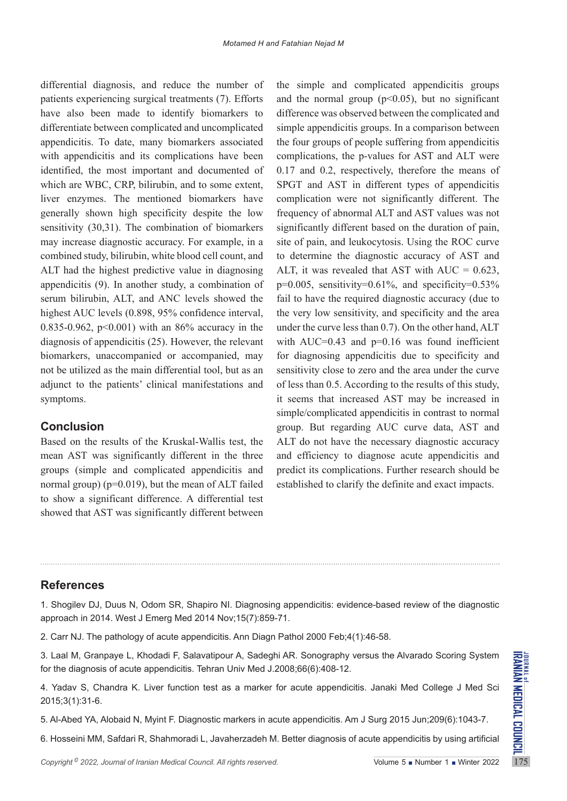differential diagnosis, and reduce the number of patients experiencing surgical treatments (7). Efforts have also been made to identify biomarkers to differentiate between complicated and uncomplicated appendicitis. To date, many biomarkers associated with appendicitis and its complications have been identified, the most important and documented of which are WBC, CRP, bilirubin, and to some extent, liver enzymes. The mentioned biomarkers have generally shown high specificity despite the low sensitivity (30,31). The combination of biomarkers may increase diagnostic accuracy. For example, in a combined study, bilirubin, white blood cell count, and ALT had the highest predictive value in diagnosing appendicitis (9). In another study, a combination of serum bilirubin, ALT, and ANC levels showed the highest AUC levels (0.898, 95% confidence interval, 0.835-0.962, p<0.001) with an 86% accuracy in the diagnosis of appendicitis (25). However, the relevant biomarkers, unaccompanied or accompanied, may not be utilized as the main differential tool, but as an adjunct to the patients' clinical manifestations and symptoms.

#### **Conclusion**

Based on the results of the Kruskal-Wallis test, the mean AST was significantly different in the three groups (simple and complicated appendicitis and normal group) ( $p=0.019$ ), but the mean of ALT failed to show a significant difference. A differential test showed that AST was significantly different between

the simple and complicated appendicitis groups and the normal group  $(p<0.05)$ , but no significant difference was observed between the complicated and simple appendicitis groups. In a comparison between the four groups of people suffering from appendicitis complications, the p-values for AST and ALT were 0.17 and 0.2, respectively, therefore the means of SPGT and AST in different types of appendicitis complication were not significantly different. The frequency of abnormal ALT and AST values was not significantly different based on the duration of pain, site of pain, and leukocytosis. Using the ROC curve to determine the diagnostic accuracy of AST and ALT, it was revealed that AST with AUC =  $0.623$ ,  $p=0.005$ , sensitivity=0.61%, and specificity=0.53% fail to have the required diagnostic accuracy (due to the very low sensitivity, and specificity and the area under the curve less than 0.7). On the other hand, ALT with AUC=0.43 and  $p=0.16$  was found inefficient for diagnosing appendicitis due to specificity and sensitivity close to zero and the area under the curve of less than 0.5. According to the results of this study, it seems that increased AST may be increased in simple/complicated appendicitis in contrast to normal group. But regarding AUC curve data, AST and ALT do not have the necessary diagnostic accuracy and efficiency to diagnose acute appendicitis and predict its complications. Further research should be established to clarify the definite and exact impacts.

## **References**

1. Shogilev DJ, Duus N, Odom SR, Shapiro NI. Diagnosing appendicitis: evidence-based review of the diagnostic approach in 2014. West J Emerg Med 2014 Nov;15(7):859-71.

2. Carr NJ. The pathology of acute appendicitis. Ann Diagn Pathol 2000 Feb;4(1):46-58.

3. Laal M, Granpaye L, Khodadi F, Salavatipour A, Sadeghi AR. Sonography versus the Alvarado Scoring System for the diagnosis of acute appendicitis. Tehran Univ Med J.2008;66(6):408-12.

*Copyright® 2022, Journal of Iranian Medical Council. All rights reserved.* The School of School of The Microsofter Council. All rights reserved.<br> *Copyright® 2022, Journal of Iranian Medical Council. All rights reserved.* 4. Yadav S, Chandra K. Liver function test as a marker for acute appendicitis. Janaki Med College J Med Sci 2015;3(1):31-6.

5. Al-Abed YA, Alobaid N, Myint F. Diagnostic markers in acute appendicitis. Am J Surg 2015 Jun;209(6):1043-7.

6. Hosseini MM, Safdari R, Shahmoradi L, Javaherzadeh M. Better diagnosis of acute appendicitis by using artificial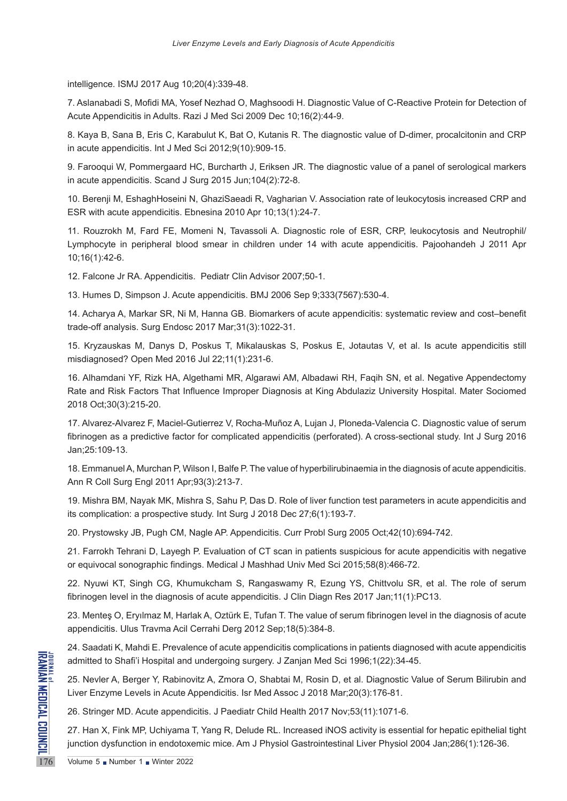intelligence. ISMJ 2017 Aug 10;20(4):339-48.

7. Aslanabadi S, Mofidi MA, Yosef Nezhad O, Maghsoodi H. Diagnostic Value of C-Reactive Protein for Detection of Acute Appendicitis in Adults. Razi J Med Sci 2009 Dec 10;16(2):44-9.

8. Kaya B, Sana B, Eris C, Karabulut K, Bat O, Kutanis R. The diagnostic value of D-dimer, procalcitonin and CRP in acute appendicitis. Int J Med Sci 2012;9(10):909-15.

9. Farooqui W, Pommergaard HC, Burcharth J, Eriksen JR. The diagnostic value of a panel of serological markers in acute appendicitis. Scand J Surg 2015 Jun;104(2):72-8.

10. Berenji M, EshaghHoseini N, GhaziSaeadi R, Vagharian V. Association rate of leukocytosis increased CRP and ESR with acute appendicitis. Ebnesina 2010 Apr 10;13(1):24-7.

11. Rouzrokh M, Fard FE, Momeni N, Tavassoli A. Diagnostic role of ESR, CRP, leukocytosis and Neutrophil/ Lymphocyte in peripheral blood smear in children under 14 with acute appendicitis. Pajoohandeh J 2011 Apr 10;16(1):42-6.

12. Falcone Jr RA. Appendicitis. Pediatr Clin Advisor 2007;50-1.

13. Humes D, Simpson J. Acute appendicitis. BMJ 2006 Sep 9;333(7567):530-4.

14. Acharya A, Markar SR, Ni M, Hanna GB. Biomarkers of acute appendicitis: systematic review and cost–benefit trade-off analysis. Surg Endosc 2017 Mar;31(3):1022-31.

15. Kryzauskas M, Danys D, Poskus T, Mikalauskas S, Poskus E, Jotautas V, et al. Is acute appendicitis still misdiagnosed? Open Med 2016 Jul 22;11(1):231-6.

16. Alhamdani YF, Rizk HA, Algethami MR, Algarawi AM, Albadawi RH, Faqih SN, et al. Negative Appendectomy Rate and Risk Factors That Influence Improper Diagnosis at King Abdulaziz University Hospital. Mater Sociomed 2018 Oct;30(3):215-20.

17. Alvarez-Alvarez F, Maciel-Gutierrez V, Rocha-Muñoz A, Lujan J, Ploneda-Valencia C. Diagnostic value of serum fibrinogen as a predictive factor for complicated appendicitis (perforated). A cross-sectional study. Int J Surg 2016 Jan;25:109-13.

18. Emmanuel A, Murchan P, Wilson I, Balfe P. The value of hyperbilirubinaemia in the diagnosis of acute appendicitis. Ann R Coll Surg Engl 2011 Apr;93(3):213-7.

19. Mishra BM, Nayak MK, Mishra S, Sahu P, Das D. Role of liver function test parameters in acute appendicitis and its complication: a prospective study. Int Surg J 2018 Dec 27;6(1):193-7.

20. Prystowsky JB, Pugh CM, Nagle AP. Appendicitis. Curr Probl Surg 2005 Oct;42(10):694-742.

21. Farrokh Tehrani D, Layegh P. Evaluation of CT scan in patients suspicious for acute appendicitis with negative or equivocal sonographic findings. Medical J Mashhad Univ Med Sci 2015;58(8):466-72.

22. Nyuwi KT, Singh CG, Khumukcham S, Rangaswamy R, Ezung YS, Chittvolu SR, et al. The role of serum fibrinogen level in the diagnosis of acute appendicitis. J Clin Diagn Res 2017 Jan;11(1):PC13.

23. Menteş O, Eryılmaz M, Harlak A, Oztürk E, Tufan T. The value of serum fibrinogen level in the diagnosis of acute appendicitis. Ulus Travma Acil Cerrahi Derg 2012 Sep;18(5):384-8.

24. Saadati K, Mahdi E. Prevalence of acute appendicitis complications in patients diagnosed with acute appendicitis admitted to Shafi'i Hospital and undergoing surgery. J Zanjan Med Sci 1996;1(22):34-45.

25. Nevler A, Berger Y, Rabinovitz A, Zmora O, Shabtai M, Rosin D, et al. Diagnostic Value of Serum Bilirubin and Liver Enzyme Levels in Acute Appendicitis. Isr Med Assoc J 2018 Mar;20(3):176-81.

26. Stringer MD. Acute appendicitis. J Paediatr Child Health 2017 Nov;53(11):1071-6.

Example admitted to Shafi'i Hospital and<br>
25. Nevler A, Berger Y, Rabinov<br>
Liver Enzyme Levels in Acute A<br>
26. Stringer MD. Acute appendi<br>
27. Han X, Fink MP, Uchiyama<br>
junction dysfunction in endotoxe<br>
Volume 5 Number 1 N 27. Han X, Fink MP, Uchiyama T, Yang R, Delude RL. Increased iNOS activity is essential for hepatic epithelial tight junction dysfunction in endotoxemic mice. Am J Physiol Gastrointestinal Liver Physiol 2004 Jan;286(1):126-36.